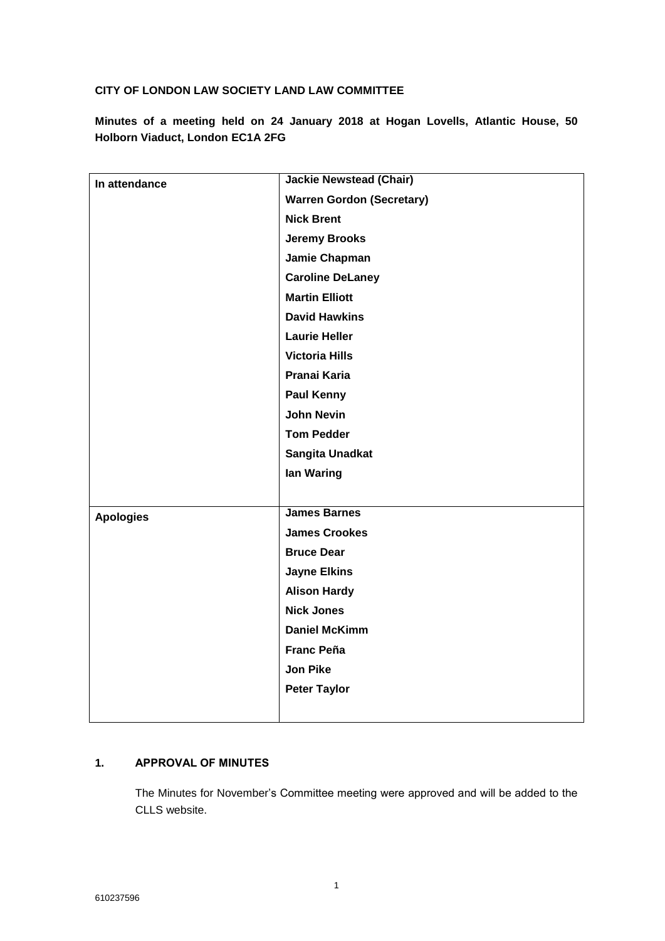### **CITY OF LONDON LAW SOCIETY LAND LAW COMMITTEE**

**Minutes of a meeting held on 24 January 2018 at Hogan Lovells, Atlantic House, 50 Holborn Viaduct, London EC1A 2FG**

| In attendance    | <b>Jackie Newstead (Chair)</b>   |
|------------------|----------------------------------|
|                  | <b>Warren Gordon (Secretary)</b> |
|                  | <b>Nick Brent</b>                |
|                  | <b>Jeremy Brooks</b>             |
|                  | Jamie Chapman                    |
|                  | <b>Caroline DeLaney</b>          |
|                  | <b>Martin Elliott</b>            |
|                  | <b>David Hawkins</b>             |
|                  | <b>Laurie Heller</b>             |
|                  | <b>Victoria Hills</b>            |
|                  | Pranai Karia                     |
|                  | <b>Paul Kenny</b>                |
|                  | <b>John Nevin</b>                |
|                  | <b>Tom Pedder</b>                |
|                  | Sangita Unadkat                  |
|                  | lan Waring                       |
|                  |                                  |
| <b>Apologies</b> | <b>James Barnes</b>              |
|                  | <b>James Crookes</b>             |
|                  | <b>Bruce Dear</b>                |
|                  | <b>Jayne Elkins</b>              |
|                  | <b>Alison Hardy</b>              |
|                  | <b>Nick Jones</b>                |
|                  | <b>Daniel McKimm</b>             |
|                  | <b>Franc Peña</b>                |
|                  | <b>Jon Pike</b>                  |
|                  | <b>Peter Taylor</b>              |
|                  |                                  |
|                  |                                  |

## **1. APPROVAL OF MINUTES**

The Minutes for November's Committee meeting were approved and will be added to the CLLS website.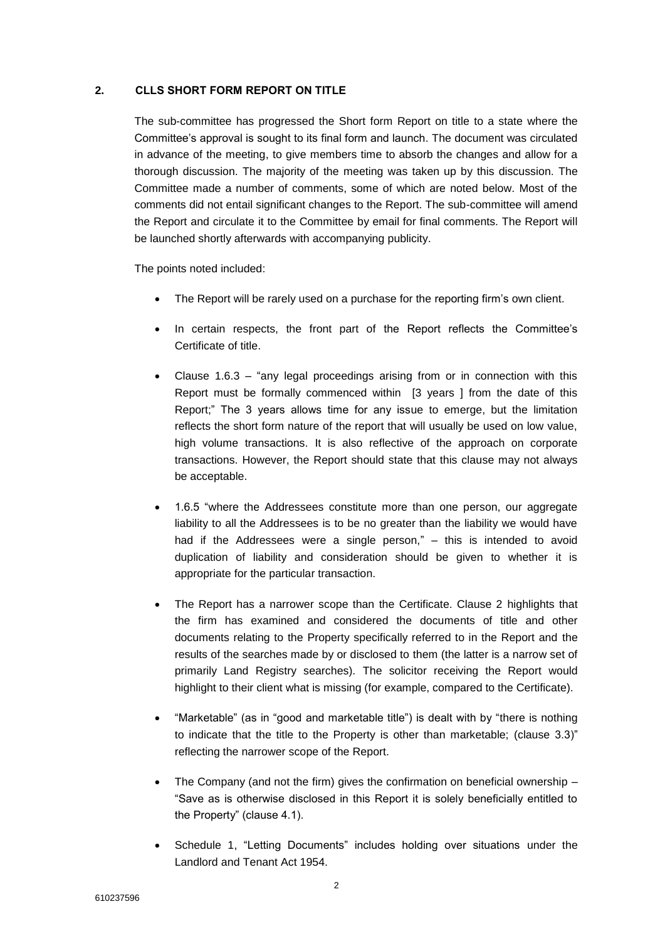#### **2. CLLS SHORT FORM REPORT ON TITLE**

The sub-committee has progressed the Short form Report on title to a state where the Committee's approval is sought to its final form and launch. The document was circulated in advance of the meeting, to give members time to absorb the changes and allow for a thorough discussion. The majority of the meeting was taken up by this discussion. The Committee made a number of comments, some of which are noted below. Most of the comments did not entail significant changes to the Report. The sub-committee will amend the Report and circulate it to the Committee by email for final comments. The Report will be launched shortly afterwards with accompanying publicity.

The points noted included:

- The Report will be rarely used on a purchase for the reporting firm's own client.
- In certain respects, the front part of the Report reflects the Committee's Certificate of title.
- Clause 1.6.3 "any legal proceedings arising from or in connection with this Report must be formally commenced within [3 years ] from the date of this Report;" The 3 years allows time for any issue to emerge, but the limitation reflects the short form nature of the report that will usually be used on low value, high volume transactions. It is also reflective of the approach on corporate transactions. However, the Report should state that this clause may not always be acceptable.
- 1.6.5 "where the Addressees constitute more than one person, our aggregate liability to all the Addressees is to be no greater than the liability we would have had if the Addressees were a single person," – this is intended to avoid duplication of liability and consideration should be given to whether it is appropriate for the particular transaction.
- The Report has a narrower scope than the Certificate. Clause 2 highlights that the firm has examined and considered the documents of title and other documents relating to the Property specifically referred to in the Report and the results of the searches made by or disclosed to them (the latter is a narrow set of primarily Land Registry searches). The solicitor receiving the Report would highlight to their client what is missing (for example, compared to the Certificate).
- "Marketable" (as in "good and marketable title") is dealt with by "there is nothing to indicate that the title to the Property is other than marketable; (clause 3.3)" reflecting the narrower scope of the Report.
- The Company (and not the firm) gives the confirmation on beneficial ownership "Save as is otherwise disclosed in this Report it is solely beneficially entitled to the Property" (clause 4.1).
- Schedule 1, "Letting Documents" includes holding over situations under the Landlord and Tenant Act 1954.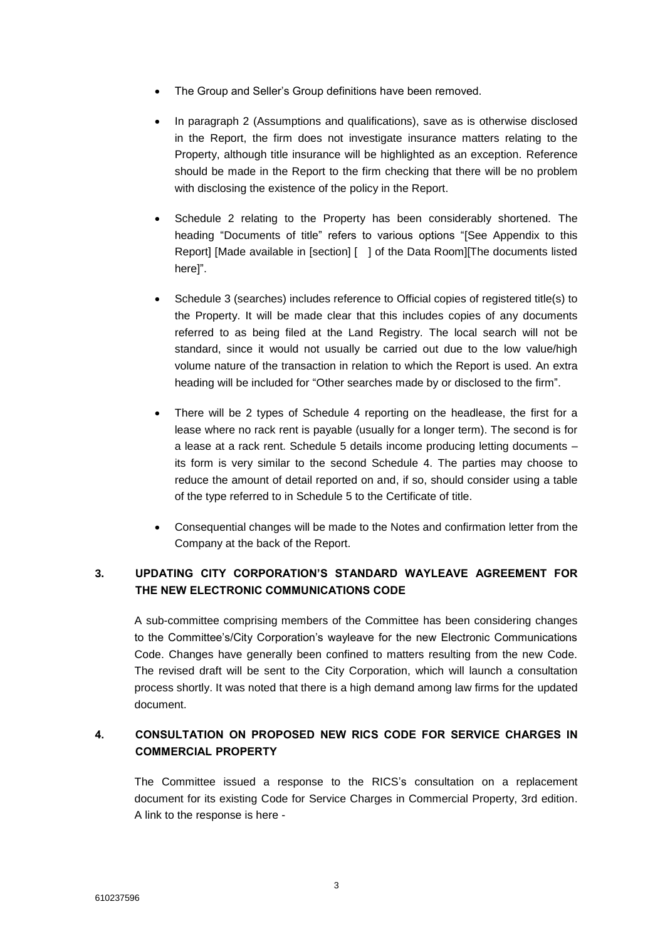- The Group and Seller's Group definitions have been removed.
- In paragraph 2 (Assumptions and qualifications), save as is otherwise disclosed in the Report, the firm does not investigate insurance matters relating to the Property, although title insurance will be highlighted as an exception. Reference should be made in the Report to the firm checking that there will be no problem with disclosing the existence of the policy in the Report.
- Schedule 2 relating to the Property has been considerably shortened. The heading "Documents of title" refers to various options "[See Appendix to this Report] [Made available in [section] [ ] of the Data Room][The documents listed here]".
- Schedule 3 (searches) includes reference to Official copies of registered title(s) to the Property. It will be made clear that this includes copies of any documents referred to as being filed at the Land Registry. The local search will not be standard, since it would not usually be carried out due to the low value/high volume nature of the transaction in relation to which the Report is used. An extra heading will be included for "Other searches made by or disclosed to the firm".
- There will be 2 types of Schedule 4 reporting on the headlease, the first for a lease where no rack rent is payable (usually for a longer term). The second is for a lease at a rack rent. Schedule 5 details income producing letting documents – its form is very similar to the second Schedule 4. The parties may choose to reduce the amount of detail reported on and, if so, should consider using a table of the type referred to in Schedule 5 to the Certificate of title.
- Consequential changes will be made to the Notes and confirmation letter from the Company at the back of the Report.

## **3. UPDATING CITY CORPORATION'S STANDARD WAYLEAVE AGREEMENT FOR THE NEW ELECTRONIC COMMUNICATIONS CODE**

A sub-committee comprising members of the Committee has been considering changes to the Committee's/City Corporation's wayleave for the new Electronic Communications Code. Changes have generally been confined to matters resulting from the new Code. The revised draft will be sent to the City Corporation, which will launch a consultation process shortly. It was noted that there is a high demand among law firms for the updated document.

# **4. CONSULTATION ON PROPOSED NEW RICS CODE FOR SERVICE CHARGES IN COMMERCIAL PROPERTY**

The Committee issued a response to the RICS's consultation on a replacement document for its existing Code for Service Charges in Commercial Property, 3rd edition. A link to the response is here -